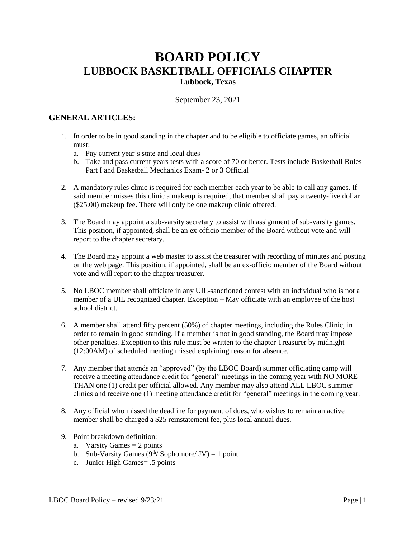# **BOARD POLICY LUBBOCK BASKETBALL OFFICIALS CHAPTER**

**Lubbock, Texas**

September 23, 2021

# **GENERAL ARTICLES:**

- 1. In order to be in good standing in the chapter and to be eligible to officiate games, an official must:
	- a. Pay current year's state and local dues
	- b. Take and pass current years tests with a score of 70 or better. Tests include Basketball Rules-Part I and Basketball Mechanics Exam- 2 or 3 Official
- 2. A mandatory rules clinic is required for each member each year to be able to call any games. If said member misses this clinic a makeup is required, that member shall pay a twenty-five dollar (\$25.00) makeup fee. There will only be one makeup clinic offered.
- 3. The Board may appoint a sub-varsity secretary to assist with assignment of sub-varsity games. This position, if appointed, shall be an ex-officio member of the Board without vote and will report to the chapter secretary.
- 4. The Board may appoint a web master to assist the treasurer with recording of minutes and posting on the web page. This position, if appointed, shall be an ex-officio member of the Board without vote and will report to the chapter treasurer.
- 5. No LBOC member shall officiate in any UIL-sanctioned contest with an individual who is not a member of a UIL recognized chapter. Exception – May officiate with an employee of the host school district.
- 6. A member shall attend fifty percent (50%) of chapter meetings, including the Rules Clinic, in order to remain in good standing. If a member is not in good standing, the Board may impose other penalties. Exception to this rule must be written to the chapter Treasurer by midnight (12:00AM) of scheduled meeting missed explaining reason for absence.
- 7. Any member that attends an "approved" (by the LBOC Board) summer officiating camp will receive a meeting attendance credit for "general" meetings in the coming year with NO MORE THAN one (1) credit per official allowed. Any member may also attend ALL LBOC summer clinics and receive one (1) meeting attendance credit for "general" meetings in the coming year.
- 8. Any official who missed the deadline for payment of dues, who wishes to remain an active member shall be charged a \$25 reinstatement fee, plus local annual dues.
- 9. Point breakdown definition:
	- a. Varsity Games  $= 2$  points
	- b. Sub-Varsity Games  $(9^{th}/\text{Sophomore}/\text{JV}) = 1$  point
	- c. Junior High Games= .5 points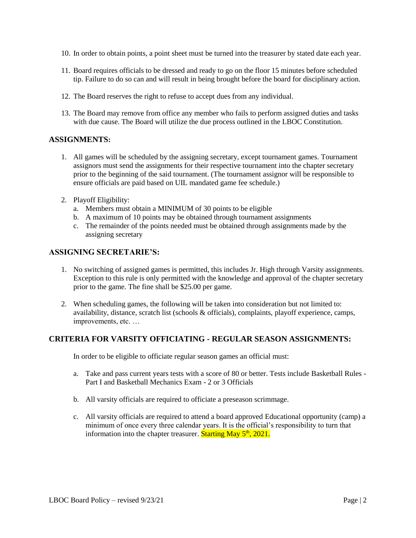- 10. In order to obtain points, a point sheet must be turned into the treasurer by stated date each year.
- 11. Board requires officials to be dressed and ready to go on the floor 15 minutes before scheduled tip. Failure to do so can and will result in being brought before the board for disciplinary action.
- 12. The Board reserves the right to refuse to accept dues from any individual.
- 13. The Board may remove from office any member who fails to perform assigned duties and tasks with due cause. The Board will utilize the due process outlined in the LBOC Constitution.

#### **ASSIGNMENTS:**

- 1. All games will be scheduled by the assigning secretary, except tournament games. Tournament assignors must send the assignments for their respective tournament into the chapter secretary prior to the beginning of the said tournament. (The tournament assignor will be responsible to ensure officials are paid based on UIL mandated game fee schedule.)
- 2. Playoff Eligibility:
	- a. Members must obtain a MINIMUM of 30 points to be eligible
	- b. A maximum of 10 points may be obtained through tournament assignments
	- c. The remainder of the points needed must be obtained through assignments made by the assigning secretary

## **ASSIGNING SECRETARIE'S:**

- 1. No switching of assigned games is permitted, this includes Jr. High through Varsity assignments. Exception to this rule is only permitted with the knowledge and approval of the chapter secretary prior to the game. The fine shall be \$25.00 per game.
- 2. When scheduling games, the following will be taken into consideration but not limited to: availability, distance, scratch list (schools & officials), complaints, playoff experience, camps, improvements, etc. …

## **CRITERIA FOR VARSITY OFFICIATING - REGULAR SEASON ASSIGNMENTS:**

In order to be eligible to officiate regular season games an official must:

- a. Take and pass current years tests with a score of 80 or better. Tests include Basketball Rules Part I and Basketball Mechanics Exam - 2 or 3 Officials
- b. All varsity officials are required to officiate a preseason scrimmage.
- c. All varsity officials are required to attend a board approved Educational opportunity (camp) a minimum of once every three calendar years. It is the official's responsibility to turn that information into the chapter treasurer. **Starting May**  $5<sup>th</sup>$ **, 2021.**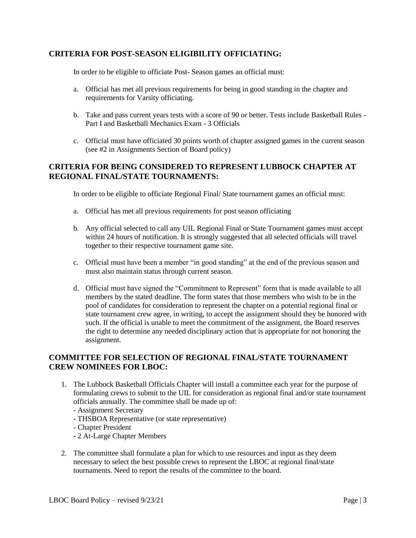# **CRITERIA FOR POST-SEASON ELIGIBILITY OFFICIATING:**

In order to be eligible to officiate Post- Season games an official must:

- a. Official has met all previous requirements for being in good standing in the chapter and requirements for Varsity officiating.
- b. Take and pass current years tests with a score of 90 or better. Tests include Basketball Rules Part I and Basketball Mechanics Exam - 3 Officials
- c. Official must have officiated 30 points worth of chapter assigned games in the current season (see #2 in Assignments Section of Board policy)

# **CRITERIA FOR BEING CONSIDERED TO REPRESENT LUBBOCK CHAPTER AT REGIONAL FINAL/STATE TOURNAMENTS:**

In order to be eligible to officiate Regional Final/ State tournament games an official must:

- a. Official has met all previous requirements for post season officiating
- b. Any official selected to call any UIL Regional Final or State Tournament games must accept within 24 hours of notification. It is strongly suggested that all selected officials will travel together to their respective tournament game site.
- c. Official must have been a member "in good standing" at the end of the previous season and must also maintain status through current season.
- d. Official must have signed the "Commitment to Represent" form that is made available to all members by the stated deadline. The form states that those members who wish to be in the pool of candidates for consideration to represent the chapter on a potential regional final or state tournament crew agree, in writing, to accept the assignment should they be honored with such. If the official is unable to meet the commitment of the assignment, the Board reserves the right to determine any needed disciplinary action that is appropriate for not honoring the assignment.

## **COMMITTEE FOR SELECTION OF REGIONAL FINAL/STATE TOURNAMENT CREW NOMINEES FOR LBOC:**

- 1. The Lubbock Basketball Officials Chapter will install a committee each year for the purpose of formulating crews to submit to the UIL for consideration as regional final and/or state tournament officials annually. The committee shall be made up of:
	- Assignment Secretary
	- THSBOA Representative (or state representative)
	- Chapter President
	- 2 At-Large Chapter Members
- 2. The committee shall formulate a plan for which to use resources and input as they deem necessary to select the best possible crews to represent the LBOC at regional final/state tournaments. Need to report the results of the committee to the board.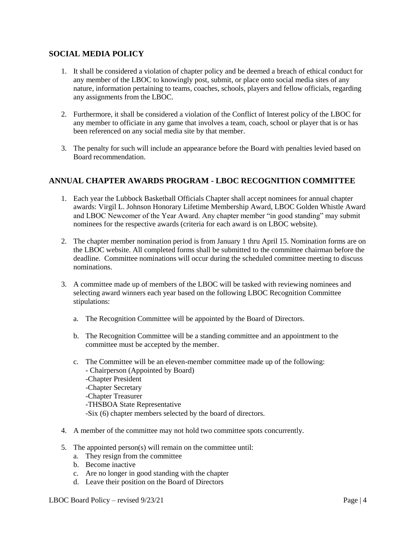# **SOCIAL MEDIA POLICY**

- 1. It shall be considered a violation of chapter policy and be deemed a breach of ethical conduct for any member of the LBOC to knowingly post, submit, or place onto social media sites of any nature, information pertaining to teams, coaches, schools, players and fellow officials, regarding any assignments from the LBOC.
- 2. Furthermore, it shall be considered a violation of the Conflict of Interest policy of the LBOC for any member to officiate in any game that involves a team, coach, school or player that is or has been referenced on any social media site by that member.
- 3. The penalty for such will include an appearance before the Board with penalties levied based on Board recommendation.

## **ANNUAL CHAPTER AWARDS PROGRAM - LBOC RECOGNITION COMMITTEE**

- 1. Each year the Lubbock Basketball Officials Chapter shall accept nominees for annual chapter awards: Virgil L. Johnson Honorary Lifetime Membership Award, LBOC Golden Whistle Award and LBOC Newcomer of the Year Award. Any chapter member "in good standing" may submit nominees for the respective awards (criteria for each award is on LBOC website).
- 2. The chapter member nomination period is from January 1 thru April 15. Nomination forms are on the LBOC website. All completed forms shall be submitted to the committee chairman before the deadline. Committee nominations will occur during the scheduled committee meeting to discuss nominations.
- 3. A committee made up of members of the LBOC will be tasked with reviewing nominees and selecting award winners each year based on the following LBOC Recognition Committee stipulations:
	- a. The Recognition Committee will be appointed by the Board of Directors.
	- b. The Recognition Committee will be a standing committee and an appointment to the committee must be accepted by the member.
	- c. The Committee will be an eleven-member committee made up of the following: - Chairperson (Appointed by Board) -Chapter President -Chapter Secretary -Chapter Treasurer -THSBOA State Representative -Six (6) chapter members selected by the board of directors.
- 4. A member of the committee may not hold two committee spots concurrently.
- 5. The appointed person(s) will remain on the committee until:
	- a. They resign from the committee
	- b. Become inactive
	- c. Are no longer in good standing with the chapter
	- d. Leave their position on the Board of Directors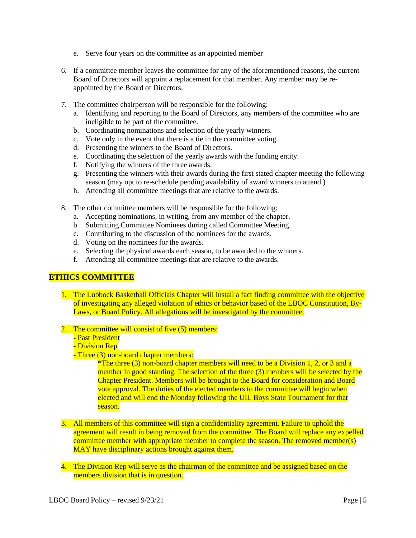- e. Serve four years on the committee as an appointed member
- 6. If a committee member leaves the committee for any of the aforementioned reasons, the current Board of Directors will appoint a replacement for that member. Any member may be reappointed by the Board of Directors.
- 7. The committee chairperson will be responsible for the following:
	- a. Identifying and reporting to the Board of Directors, any members of the committee who are ineligible to be part of the committee.
	- b. Coordinating nominations and selection of the yearly winners.
	- c. Vote only in the event that there is a tie in the committee voting.
	- d. Presenting the winners to the Board of Directors.
	- e. Coordinating the selection of the yearly awards with the funding entity.
	- f. Notifying the winners of the three awards.
	- g. Presenting the winners with their awards during the first stated chapter meeting the following season (may opt to re-schedule pending availability of award winners to attend.)
	- h. Attending all committee meetings that are relative to the awards.
- 8. The other committee members will be responsible for the following:
	- a. Accepting nominations, in writing, from any member of the chapter.
	- b. Submitting Committee Nominees during called Committee Meeting
	- c. Contributing to the discussion of the nominees for the awards.
	- d. Voting on the nominees for the awards.
	- e. Selecting the physical awards each season, to be awarded to the winners.
	- f. Attending all committee meetings that are relative to the awards.

## **ETHICS COMMITTEE**

- 1. The Lubbock Basketball Officials Chapter will install a fact finding committee with the objective of investigating any alleged violation of ethics or behavior based of the LBOC Constitution, By-Laws, or Board Policy. All allegations will be investigated by the committee.
- 2. The committee will consist of five (5) members:
	- Past President
	- Division Rep
	- Three (3) non-board chapter members:

\*The three (3) non-board chapter members will need to be a Division 1, 2, or 3 and a member in good standing. The selection of the three (3) members will be selected by the Chapter President. Members will be brought to the Board for consideration and Board vote approval. The duties of the elected members to the committee will begin when elected and will end the Monday following the UIL Boys State Tournament for that season.

- 3. All members of this committee will sign a confidentiality agreement. Failure to uphold the agreement will result in being removed from the committee. The Board will replace any expelled committee member with appropriate member to complete the season. The removed member(s) MAY have disciplinary actions brought against them.
- 4. The Division Rep will serve as the chairman of the committee and be assigned based on the members division that is in question.